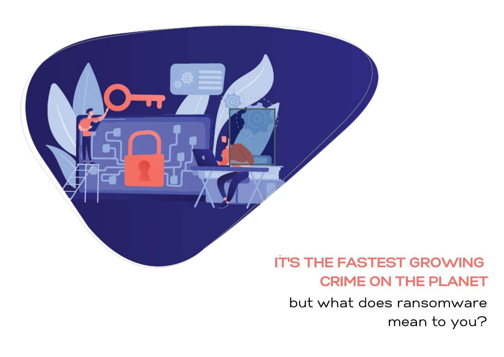

but what does ransomware mean to you?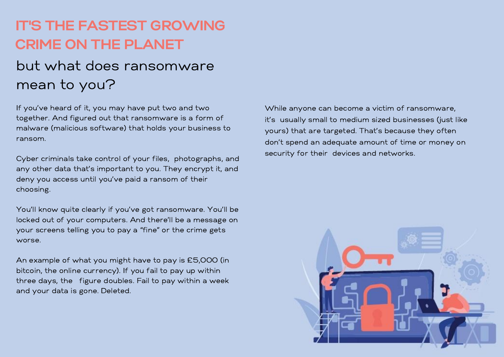# IT'S THE FASTEST GROWING CRIME ON THE PLANET

## but what does ransomware mean to you?

If you've heard of it, you may have put two and two together. And figured out that ransomware is a form of malware (malicious software) that holds your business to ransom.

Cyber criminals take control of your files, photographs, and any other data that's important to you. They encrypt it, and deny you access until you've paid a ransom of their choosing.

You'll know quite clearly if you've got ransomware. You'll be locked out of your computers. And there'll be a message on your screens telling you to pay a "fine" or the crime gets worse.

An example of what you might have to pay is £5,000 (in bitcoin, the online currency). If you fail to pay up within three days, the figure doubles. Fail to pay within a week and your data is gone. Deleted.

While anyone can become a victim of ransomware, it's usually small to medium sized businesses (just like yours) that are targeted. That's because they often don't spend an adequate amount of time or money on security for their devices and networks.

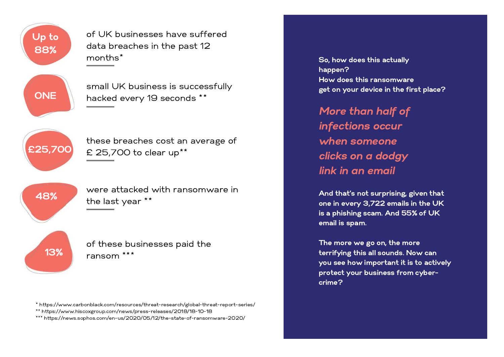

\* https://www.carbonblack.com/resources/threat-research/global-threat-report-series/

\*\* https://www.hiscoxgroup.com/news/press-releases/2018/18-10-18

\*\*\* https://news.sophos.com/en-us/2020/05/12/the-state-of-ransomware-2020/

So, how does this actually happen? How does this ransomware get on your device in the first place?

More than half of infections occur when someone clicks on a dodgy link in an email

And that's not surprising, given that one in every 3,722 emails in the UK is a phishing scam. And 55% of UK email is spam.

The more we go on, the more terrifying this all sounds. Now can you see how important it is to actively protect your business from cybercrime?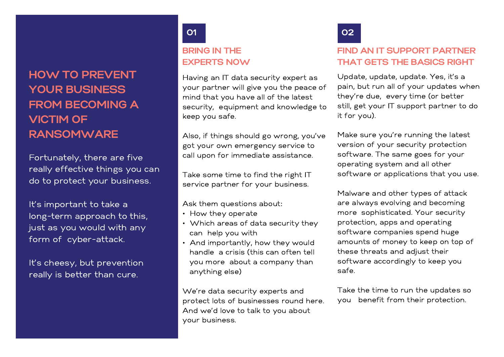HOW TO PREVENT YOUR BUSINESS FROM BECOMING A VICTIM OF **RANSOMWARE** 

Fortunately, there are five really effective things you can do to protect your business.

It's important to take a long-term approach to this, just as you would with any form of cyber-attack.

It's cheesy, but prevention really is better than cure.

#### BRING IN THE EXPERTS NOW

Having an IT data security expert as your partner will give you the peace of mind that you have all of the latest security, equipment and knowledge to keep you safe.

Also, if things should go wrong, you've got your own emergency service to call upon for immediate assistance.

Take some time to find the right IT service partner for your business.

Ask them questions about:

- How they operate
- Which areas of data security they can help you with
- And importantly, how they would handle a crisis (this can often tell you more about a company than anything else)

We're data security experts and protect lots of businesses round here. And we'd love to talk to you about your business.



#### FIND AN IT SUPPORT PARTNER THAT GETS THE BASICS RIGHT

Update, update, update. Yes, it's a pain, but run all of your updates when they're due, every time (or better still, get your IT support partner to do it for you).

Make sure you're running the latest version of your security protection software. The same goes for your operating system and all other software or applications that you use.

Malware and other types of attack are always evolving and becoming more sophisticated. Your security protection, apps and operating software companies spend huge amounts of money to keep on top of these threats and adjust their software accordingly to keep you safe.

Take the time to run the updates so you benefit from their protection.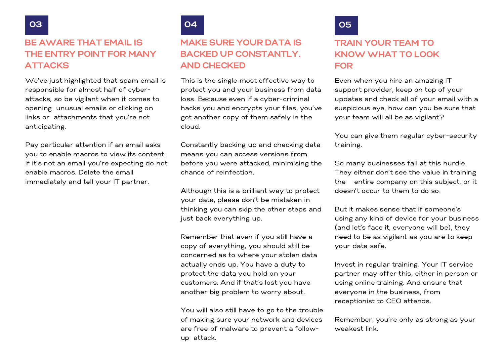#### BE AWARE THAT EMAIL IS THE ENTRY POINT FOR MANY **ATTACKS**

We've just highlighted that spam email is responsible for almost half of cyberattacks, so be vigilant when it comes to opening unusual emails or clicking on links or attachments that you're not anticipating.

Pay particular attention if an email asks you to enable macros to view its content. If it's not an email you're expecting do not enable macros. Delete the email immediately and tell your IT partner.

03 04 04 04

### MAKE SURE YOUR DATA IS BACKED UP CONSTANTLY. AND CHECKED

This is the single most effective way to protect you and your business from data loss. Because even if a cyber-criminal hacks you and encrypts your files, you've got another copy of them safely in the cloud.

Constantly backing up and checking data means you can access versions from before you were attacked, minimising the chance of reinfection.

Although this is a brilliant way to protect your data, please don't be mistaken in thinking you can skip the other steps and just back everything up.

Remember that even if you still have a copy of everything, you should still be concerned as to where your stolen data actually ends up. You have a duty to protect the data you hold on your customers. And if that's lost you have another big problem to worry about.

You will also still have to go to the trouble of making sure your network and devices are free of malware to prevent a followup attack.



#### TRAIN YOUR TEAM TO KNOW WHAT TO LOOK FOR

Even when you hire an amazing IT support provider, keep on top of your updates and check all of your email with a suspicious eye, how can you be sure that your team will all be as vigilant?

You can give them regular cyber-security training.

So many businesses fall at this hurdle. They either don't see the value in training the entire company on this subject, or it doesn't occur to them to do so.

But it makes sense that if someone's using any kind of device for your business (and let's face it, everyone will be), they need to be as vigilant as you are to keep your data safe.

Invest in regular training. Your IT service partner may offer this, either in person or using online training. And ensure that everyone in the business, from receptionist to CEO attends.

Remember, you're only as strong as your weakest link.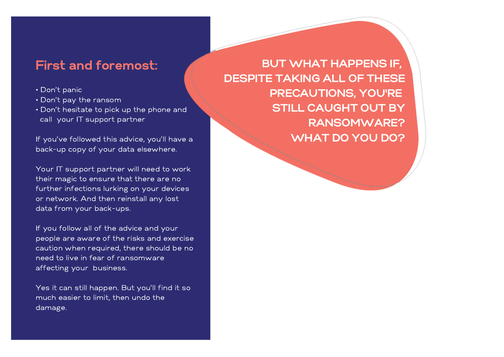## First and foremost:

- Don't panic
- Don't pay the ransom
- Don't hesitate to pick up the phone and call your IT support partner

If you've followed this advice, you'll have a back-up copy of your data elsewhere.

Your IT support partner will need to work their magic to ensure that there are no further infections lurking on your devices or network. And then reinstall any lost data from your back-ups.

If you follow all of the advice and your people are aware of the risks and exercise caution when required, there should be no need to live in fear of ransomware affecting your business.

Yes it can still happen. But you'll find it so much easier to limit, then undo the damage.

BUT WHAT HAPPENS IF, DESPITE TAKING ALL OF THESE PRECAUTIONS, YOU'RE STILL CAUGHT OUT BY RANSOMWARE? WHAT DO YOU DO?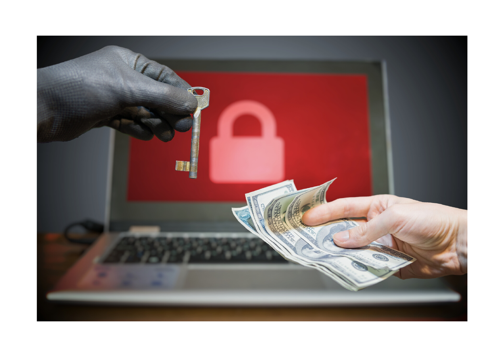